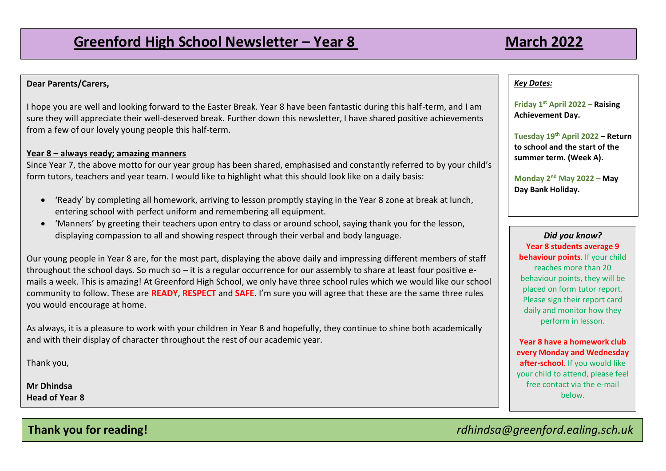# **Dear Parents/Carers,**

I hope you are well and looking forward to the Easter Break. Year 8 have been fantastic during this half-term, and I am sure they will appreciate their well-deserved break. Further down this newsletter, I have shared positive achievements from a few of our lovely young people this half-term.

# **Year 8 – always ready; amazing manners**

Since Year 7, the above motto for our year group has been shared, emphasised and constantly referred to by your child's form tutors, teachers and year team. I would like to highlight what this should look like on a daily basis:

- 'Ready' by completing all homework, arriving to lesson promptly staying in the Year 8 zone at break at lunch, entering school with perfect uniform and remembering all equipment.
- 'Manners' by greeting their teachers upon entry to class or around school, saying thank you for the lesson, displaying compassion to all and showing respect through their verbal and body language.

Our young people in Year 8 are, for the most part, displaying the above daily and impressing different members of staff throughout the school days. So much so  $-$  it is a regular occurrence for our assembly to share at least four positive emails a week. This is amazing! At Greenford High School, we only have three school rules which we would like our school community to follow. These are **READY**, **RESPECT** and **SAFE**. I'm sure you will agree that these are the same three rules you would encourage at home.

As always, it is a pleasure to work with your children in Year 8 and hopefully, they continue to shine both academically and with their display of character throughout the rest of our academic year.

Thank you,

**Mr Dhindsa Head of Year 8**

## *Key Dates:*

**Friday 1st April 2022 – Raising Achievement Day.** 

**Tuesday 19th April 2022 – Return to school and the start of the summer term. (Week A).** 

**Monday 2nd May 2022 – May Day Bank Holiday.**

*Did you know?* **Year 8 students average 9 behaviour points**. If your child reaches more than 20 behaviour points, they will be placed on form tutor report. Please sign their report card daily and monitor how they perform in lesson.

**Year 8 have a homework club every Monday and Wednesday after-school**. If you would like your child to attend, please feel free contact via the e-mail below.

**Thank you for reading!** *rdhindsa@greenford.ealing.sch.uk*